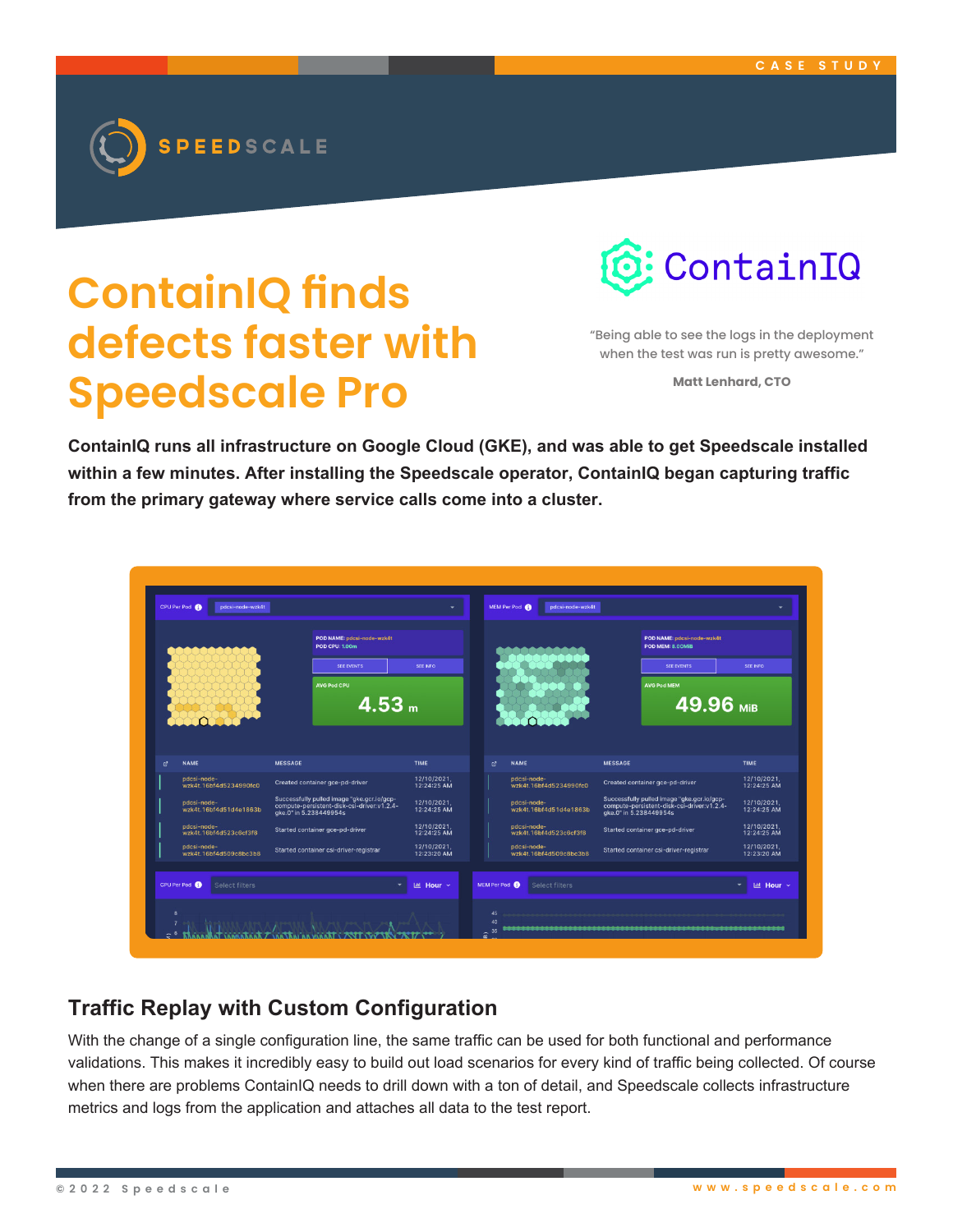

## **ContainIQ finds defects faster with Speedscale Pro**



"Being able to see the logs in the deployment when the test was run is pretty awesome."

**Matt Lenhard, CTO**

**ContainIQ runs all infrastructure on Google Cloud (GKE), and was able to get Speedscale installed within a few minutes. After installing the Speedscale operator, ContainIQ began capturing traffic from the primary gateway where service calls come into a cluster.**

|   |                                       | POD NAME: pdcsi-node-wzk4t<br><b>POD CPU: 1.00m</b>                                                                |                            |   |                                       | POD NAME: pdcsi-node-wzk4t<br>POD MEM: 8.00MiB                                                                     |                            |  |
|---|---------------------------------------|--------------------------------------------------------------------------------------------------------------------|----------------------------|---|---------------------------------------|--------------------------------------------------------------------------------------------------------------------|----------------------------|--|
|   |                                       | <b>SEE EVENTS</b>                                                                                                  | <b>SEE INFO</b>            |   |                                       | <b>SEE EVENTS</b>                                                                                                  | <b>SEE INFO</b>            |  |
|   |                                       | <b>AVG Pod CPU</b>                                                                                                 |                            |   |                                       | <b>AVG Pod MEM</b>                                                                                                 |                            |  |
|   |                                       | 4.53 <sub>m</sub>                                                                                                  |                            |   |                                       | 49.96 MiB                                                                                                          |                            |  |
|   |                                       |                                                                                                                    |                            |   |                                       |                                                                                                                    |                            |  |
|   |                                       |                                                                                                                    |                            |   |                                       |                                                                                                                    |                            |  |
| 國 | <b>NAME</b>                           | <b>MESSAGE</b>                                                                                                     | TIME                       | ø | <b>NAME</b>                           | <b>MESSAGE</b>                                                                                                     | <b>TIME</b>                |  |
|   | pdcsi-node-<br>wzk4t.16bf4d5234990fc0 | Created container gce-pd-driver                                                                                    | 12/10/2021.<br>12:24:25 AM |   | pdcsi-node-<br>wzk4t.16bf4d5234990fc0 | Created container gce-pd-driver                                                                                    | 12/10/2021.<br>12:24:25 AM |  |
|   | pdcsi-node-<br>wzk4t.16bf4d51d4e1863b | Successfully pulled image "gke.gcr.io/gcp-<br>compute-persistent-disk-csi-driver:v1.2.4-<br>qke.0" in 5.238449954s | 12/10/2021.<br>12:24:25 AM |   | pdcsi-node-<br>wzk4t.16bf4d51d4e1863b | Successfully pulled image "gke.gcr.io/gcp-<br>compute-persistent-disk-csi-driver:v1.2.4-<br>gke.0" in 5.238449954s | 12/10/2021.<br>12:24:25 AM |  |
|   | pdcsi-node-<br>wzk4t.16bf4d523c6cf3f8 | Started container gce-pd-driver                                                                                    | 12/10/2021.<br>12:24:25 AM |   | pdcsi-node-<br>wzk4t.16bf4d523c6cf3f8 | Started container gce-pd-driver                                                                                    | 12/10/2021,<br>12:24:25 AM |  |
|   | pdcsi-node-<br>wzk4t.16bf4d509c8bc3b8 | Started container csi-driver-registrar                                                                             | 12/10/2021.<br>12:23:20 AM |   | pdcsi-node-<br>wzk4t.16bf4d509c8bc3b8 | Started container csi-driver-registrar                                                                             | 12/10/2021.<br>12:23:20 AM |  |
|   |                                       |                                                                                                                    |                            |   |                                       |                                                                                                                    |                            |  |
|   | CPU Per Pod<br>Select filters         | ÷                                                                                                                  | <b>Lati Hour √</b>         |   | MEM Per Pod<br><b>Select filters</b>  |                                                                                                                    | Lill Hour Y<br>٠           |  |

## **Traffic Replay with Custom Configuration**

With the change of a single configuration line, the same traffic can be used for both functional and performance validations. This makes it incredibly easy to build out load scenarios for every kind of traffic being collected. Of course when there are problems ContainIQ needs to drill down with a ton of detail, and Speedscale collects infrastructure metrics and logs from the application and attaches all data to the test report.